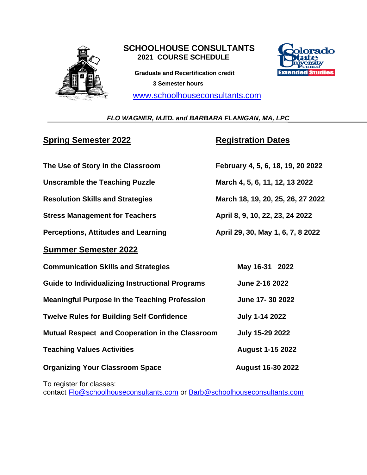

## **SCHOOLHOUSE CONSULTANTS 2021 COURSE SCHEDULE**

 **Graduate and Recertification credit 3 Semester hours**

[www.schoolhouseconsultants.com](http://www.schoolhouseconsultants.com/)



### *FLO WAGNER, M.ED. and BARBARA FLANIGAN, MA, LPC*

# **Spring Semester 2022 Registration Dates**

| The Use of Story in the Classroom                      | February 4, 5, 6, 18, 19, 20 2022 |
|--------------------------------------------------------|-----------------------------------|
| <b>Unscramble the Teaching Puzzle</b>                  | March 4, 5, 6, 11, 12, 13 2022    |
| <b>Resolution Skills and Strategies</b>                | March 18, 19, 20, 25, 26, 27 2022 |
| <b>Stress Management for Teachers</b>                  | April 8, 9, 10, 22, 23, 24 2022   |
| <b>Perceptions, Attitudes and Learning</b>             | April 29, 30, May 1, 6, 7, 8 2022 |
| <b>Summer Semester 2022</b>                            |                                   |
| <b>Communication Skills and Strategies</b>             | May 16-31 2022                    |
| <b>Guide to Individualizing Instructional Programs</b> | June 2-16 2022                    |
| <b>Meaningful Purpose in the Teaching Profession</b>   | June 17-30 2022                   |
| <b>Twelve Rules for Building Self Confidence</b>       | <b>July 1-14 2022</b>             |
| Mutual Respect and Cooperation in the Classroom        | <b>July 15-29 2022</b>            |
| <b>Teaching Values Activities</b>                      | <b>August 1-15 2022</b>           |
| <b>Organizing Your Classroom Space</b>                 | <b>August 16-30 2022</b>          |
|                                                        |                                   |

To register for classes:

contact [Flo@schoolhouseconsultants.com](mailto:Flo@schoolhouseconsultants.com) or [Barb@schoolhouseconsultants.com](mailto:Barb@schoolhouseconsultants.com)